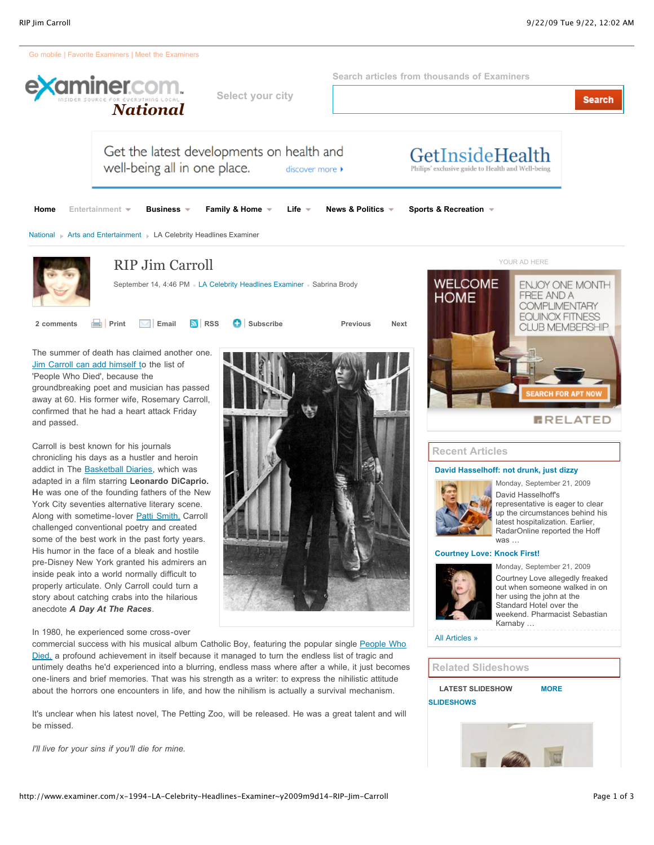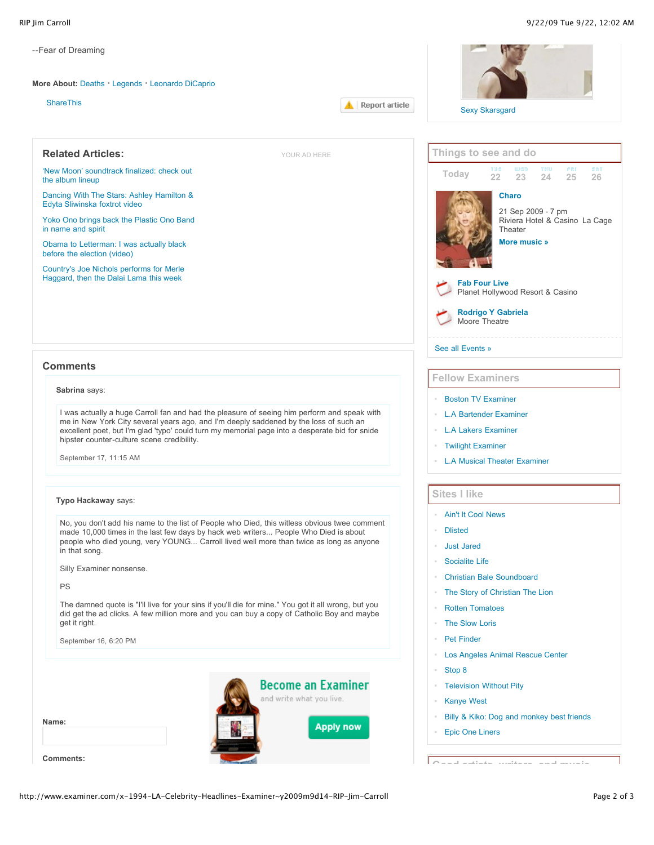| --Fear of Dreaming                                                                                                                                                                                |                                                                                              |  |  |
|---------------------------------------------------------------------------------------------------------------------------------------------------------------------------------------------------|----------------------------------------------------------------------------------------------|--|--|
| More About: Deaths Legends Leonardo DiCaprio                                                                                                                                                      |                                                                                              |  |  |
| <b>ShareThis</b><br>Report article                                                                                                                                                                |                                                                                              |  |  |
|                                                                                                                                                                                                   | <b>Sexy Skarsgard</b>                                                                        |  |  |
| <b>Related Articles:</b><br>YOUR AD HERE                                                                                                                                                          | Things to see and do                                                                         |  |  |
| 'New Moon' soundtrack finalized: check out<br>the album lineup                                                                                                                                    | <b>SAT</b><br>$W \in \mathbb{D}$<br>TNU<br>FRI<br>TUE<br>Today<br>22<br>23<br>24<br>26<br>25 |  |  |
| Dancing With The Stars: Ashley Hamilton &<br>Edyta Sliwinska foxtrot video                                                                                                                        | <b>Charo</b>                                                                                 |  |  |
| Yoko Ono brings back the Plastic Ono Band<br>in name and spirit                                                                                                                                   | 21 Sep 2009 - 7 pm<br>Riviera Hotel & Casino La Cage<br>Theater                              |  |  |
| Obama to Letterman: I was actually black<br>before the election (video)                                                                                                                           | More music »                                                                                 |  |  |
| Country's Joe Nichols performs for Merle<br>Haggard, then the Dalai Lama this week                                                                                                                | <b>Fab Four Live</b>                                                                         |  |  |
|                                                                                                                                                                                                   | Planet Hollywood Resort & Casino                                                             |  |  |
|                                                                                                                                                                                                   | <b>Rodrigo Y Gabriela</b><br>Moore Theatre                                                   |  |  |
|                                                                                                                                                                                                   | See all Events »                                                                             |  |  |
| <b>Comments</b>                                                                                                                                                                                   | <b>Fellow Examiners</b>                                                                      |  |  |
| Sabrina says:                                                                                                                                                                                     | <b>Boston TV Examiner</b>                                                                    |  |  |
| I was actually a huge Carroll fan and had the pleasure of seeing him perform and speak with                                                                                                       | <b>L.A Bartender Examiner</b>                                                                |  |  |
| me in New York City several years ago, and I'm deeply saddened by the loss of such an<br>excellent poet, but I'm glad 'typo' could turn my memorial page into a desperate bid for snide           | <b>L.A Lakers Examiner</b>                                                                   |  |  |
| hipster counter-culture scene credibility.                                                                                                                                                        | <b>Twilight Examiner</b>                                                                     |  |  |
| September 17, 11:15 AM                                                                                                                                                                            | <b>L.A Musical Theater Examiner</b>                                                          |  |  |
| Typo Hackaway says:                                                                                                                                                                               | <b>Sites I like</b>                                                                          |  |  |
|                                                                                                                                                                                                   | <b>Ain't It Cool News</b>                                                                    |  |  |
| No, you don't add his name to the list of People who Died, this witless obvious twee comment<br>made 10,000 times in the last few days by hack web writers People Who Died is about               | <b>Dlisted</b>                                                                               |  |  |
| people who died young, very YOUNG Carroll lived well more than twice as long as anyone<br>in that song.                                                                                           | <b>Just Jared</b>                                                                            |  |  |
|                                                                                                                                                                                                   | <b>Socialite Life</b>                                                                        |  |  |
| Silly Examiner nonsense.                                                                                                                                                                          | <b>Christian Bale Soundboard</b>                                                             |  |  |
| PS                                                                                                                                                                                                | The Story of Christian The Lion                                                              |  |  |
| The damned quote is "I'll live for your sins if you'll die for mine." You got it all wrong, but you<br>did get the ad clicks. A few million more and you can buy a copy of Catholic Boy and maybe | <b>Rotten Tomatoes</b>                                                                       |  |  |
| get it right.                                                                                                                                                                                     | The Slow Loris                                                                               |  |  |
| September 16, 6:20 PM                                                                                                                                                                             | <b>Pet Finder</b>                                                                            |  |  |
|                                                                                                                                                                                                   | Los Angeles Animal Rescue Center                                                             |  |  |
|                                                                                                                                                                                                   | Stop 8                                                                                       |  |  |
| <b>Become an Examiner</b>                                                                                                                                                                         | <b>Television Without Pity</b>                                                               |  |  |
| and write what you live.                                                                                                                                                                          | <b>Kanye West</b>                                                                            |  |  |
| Name:                                                                                                                                                                                             | Billy & Kiko: Dog and monkey best friends                                                    |  |  |
| <b>Apply now</b>                                                                                                                                                                                  | <b>Epic One Liners</b>                                                                       |  |  |